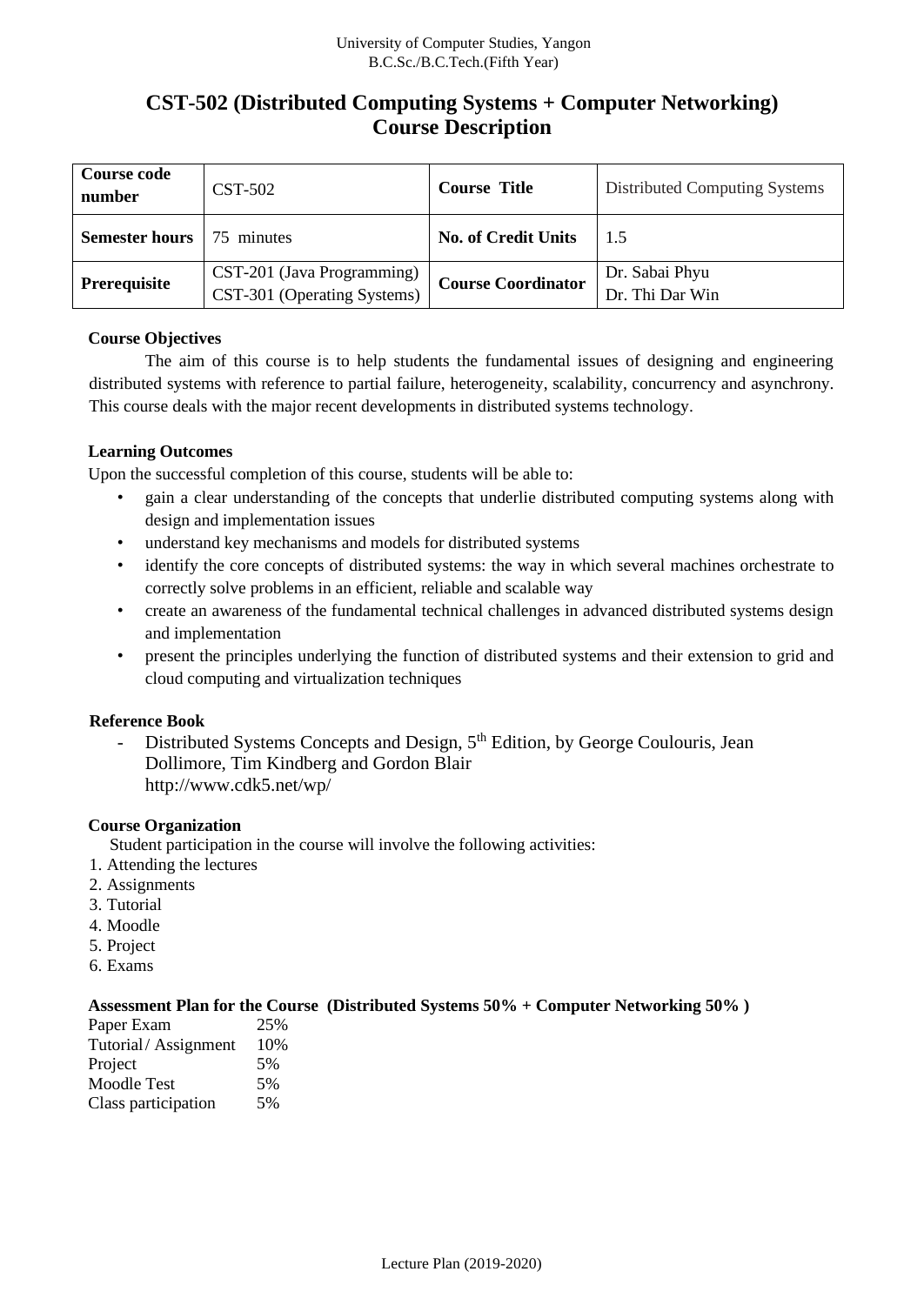# **CST-502 (Distributed Computing Systems + Computer Networking) Course Description**

| <b>Course code</b><br>number | <b>CST-502</b>                                            | <b>Course Title</b>        | Distributed Computing Systems     |  |
|------------------------------|-----------------------------------------------------------|----------------------------|-----------------------------------|--|
| <b>Semester hours</b>        | 75 minutes                                                | <b>No. of Credit Units</b> | 1.5                               |  |
| Prerequisite                 | CST-201 (Java Programming)<br>CST-301 (Operating Systems) | <b>Course Coordinator</b>  | Dr. Sabai Phyu<br>Dr. Thi Dar Win |  |

### **Course Objectives**

The aim of this course is to help students the fundamental issues of designing and engineering distributed systems with reference to partial failure, heterogeneity, scalability, concurrency and asynchrony. This course deals with the major recent developments in distributed systems technology.

## **Learning Outcomes**

Upon the successful completion of this course, students will be able to:

- gain a clear understanding of the concepts that underlie distributed computing systems along with design and implementation issues
- understand key mechanisms and models for distributed systems
- identify the core concepts of distributed systems: the way in which several machines orchestrate to correctly solve problems in an efficient, reliable and scalable way
- create an awareness of the fundamental technical challenges in advanced distributed systems design and implementation
- present the principles underlying the function of distributed systems and their extension to grid and cloud computing and virtualization techniques

### **Reference Book**

- Distributed Systems Concepts and Design, 5<sup>th</sup> Edition, by George Coulouris, Jean Dollimore, Tim Kindberg and Gordon Blair http://www.cdk5.net/wp/

### **Course Organization**

Student participation in the course will involve the following activities:

- 1. Attending the lectures
- 2. Assignments
- 3. Tutorial
- 4. Moodle
- 5. Project
- 6. Exams

### **Assessment Plan for the Course (Distributed Systems 50% + Computer Networking 50% )**

| Paper Exam          | 25% |
|---------------------|-----|
| Tutorial/Assignment | 10% |
| Project             | 5%  |
| Moodle Test         | 5%  |
| Class participation | 5%  |